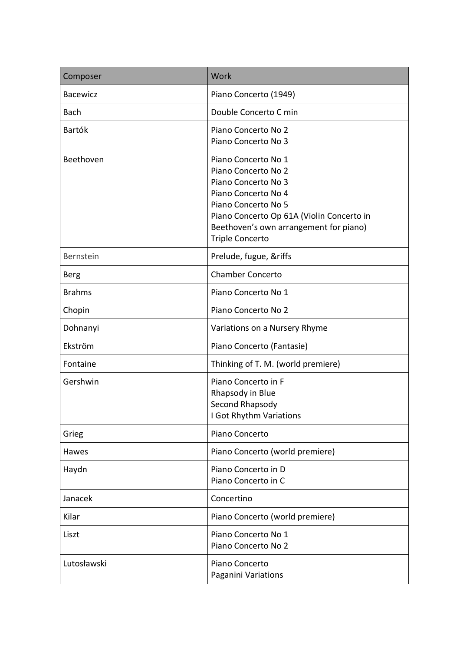| Composer        | Work                                                                                                                                                                                                                             |
|-----------------|----------------------------------------------------------------------------------------------------------------------------------------------------------------------------------------------------------------------------------|
| <b>Bacewicz</b> | Piano Concerto (1949)                                                                                                                                                                                                            |
| <b>Bach</b>     | Double Concerto C min                                                                                                                                                                                                            |
| <b>Bartók</b>   | Piano Concerto No 2<br>Piano Concerto No 3                                                                                                                                                                                       |
| Beethoven       | Piano Concerto No 1<br>Piano Concerto No 2<br>Piano Concerto No 3<br>Piano Concerto No 4<br>Piano Concerto No 5<br>Piano Concerto Op 61A (Violin Concerto in<br>Beethoven's own arrangement for piano)<br><b>Triple Concerto</b> |
| Bernstein       | Prelude, fugue, &riffs                                                                                                                                                                                                           |
| Berg            | <b>Chamber Concerto</b>                                                                                                                                                                                                          |
| <b>Brahms</b>   | Piano Concerto No 1                                                                                                                                                                                                              |
| Chopin          | Piano Concerto No 2                                                                                                                                                                                                              |
| Dohnanyi        | Variations on a Nursery Rhyme                                                                                                                                                                                                    |
| Ekström         | Piano Concerto (Fantasie)                                                                                                                                                                                                        |
| Fontaine        | Thinking of T. M. (world premiere)                                                                                                                                                                                               |
| Gershwin        | Piano Concerto in F<br>Rhapsody in Blue<br>Second Rhapsody<br>I Got Rhythm Variations                                                                                                                                            |
| Grieg           | Piano Concerto                                                                                                                                                                                                                   |
| Hawes           | Piano Concerto (world premiere)                                                                                                                                                                                                  |
| Haydn           | Piano Concerto in D<br>Piano Concerto in C                                                                                                                                                                                       |
| Janacek         | Concertino                                                                                                                                                                                                                       |
| Kilar           | Piano Concerto (world premiere)                                                                                                                                                                                                  |
| Liszt           | Piano Concerto No 1<br>Piano Concerto No 2                                                                                                                                                                                       |
| Lutosławski     | Piano Concerto<br>Paganini Variations                                                                                                                                                                                            |